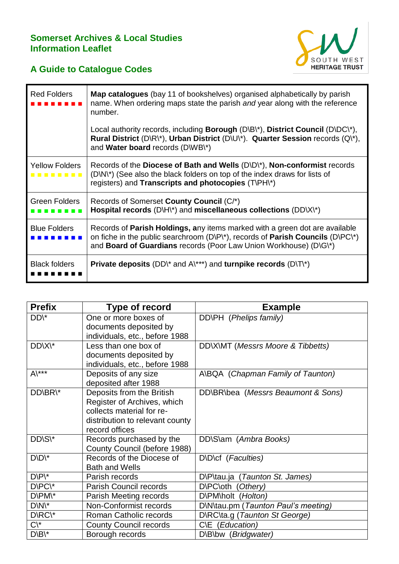## **Somerset Archives & Local Studies Information Leaflet**



## **A Guide to Catalogue Codes**

| <b>Red Folders</b>         | <b>Map catalogues</b> (bay 11 of bookshelves) organised alphabetically by parish<br>name. When ordering maps state the parish and year along with the reference<br>number.                                                                                  |
|----------------------------|-------------------------------------------------------------------------------------------------------------------------------------------------------------------------------------------------------------------------------------------------------------|
|                            | Local authority records, including <b>Borough</b> ( $D\setminus B\setminus Y$ ), <b>District Council</b> ( $D\setminus D\subset Y$ ),<br>Rural District (D\R\*), Urban District (D\U\*). Quarter Session records (Q\*),<br>and Water board records (D\WB\*) |
| <b>Yellow Folders</b><br>. | Records of the Diocese of Bath and Wells $(D\setminus D^*)$ , Non-conformist records<br>(D\N\*) (See also the black folders on top of the index draws for lists of<br>registers) and <b>Transcripts and photocopies</b> (T\PH\*)                            |
| <b>Green Folders</b>       | Records of Somerset County Council (C/*)<br>Hospital records (D\H\*) and miscellaneous collections (DD\X\*)                                                                                                                                                 |
| <b>Blue Folders</b>        | Records of Parish Holdings, any items marked with a green dot are available<br>on fiche in the public searchroom (D\P\*), records of Parish Councils (D\PC\*)<br>and <b>Board of Guardians</b> records (Poor Law Union Workhouse) (D\G\*)                   |
| <b>Black folders</b>       | <b>Private deposits</b> (DD\* and A\***) and <b>turnpike records</b> (D\T\*)                                                                                                                                                                                |

| <b>Prefix</b>                | Type of record                  | <b>Example</b>                      |
|------------------------------|---------------------------------|-------------------------------------|
| DD\*                         | One or more boxes of            | DD\PH (Phelips family)              |
|                              | documents deposited by          |                                     |
|                              | individuals, etc., before 1988  |                                     |
| DD\X\*                       | Less than one box of            | DD\X\MT (Messrs Moore & Tibbetts)   |
|                              | documents deposited by          |                                     |
|                              | individuals, etc., before 1988  |                                     |
| $A\lambda***$                | Deposits of any size            | A\BQA (Chapman Family of Taunton)   |
|                              | deposited after 1988            |                                     |
| DD\BR\*                      | Deposits from the British       | DD\BR\bea (Messrs Beaumont & Sons)  |
|                              | Register of Archives, which     |                                     |
|                              | collects material for re-       |                                     |
|                              | distribution to relevant county |                                     |
|                              | record offices                  |                                     |
| DD\S\*                       | Records purchased by the        | DD\S\am (Ambra Books)               |
|                              | County Council (before 1988)    |                                     |
| $D\backslash D\backslash^*$  | Records of the Diocese of       | D\D\cf (Faculties)                  |
|                              | <b>Bath and Wells</b>           |                                     |
| $D\backslash P\backslash^*$  | Parish records                  | D\P\tau.ja (Taunton St. James)      |
| D\PC\*                       | <b>Parish Council records</b>   | D\PC\oth (Othery)                   |
| D\PM\*                       | Parish Meeting records          | D\PM\holt (Holton)                  |
| $D\backslash N$ <sup>*</sup> | Non-Conformist records          | D\N\tau.pm (Taunton Paul's meeting) |
| D\RC\*                       | Roman Catholic records          | D\RC\ta.g (Taunton St George)       |
| $C \backslash^*$             | <b>County Council records</b>   | C\E (Education)                     |
| $D\backslash B\backslash^*$  | Borough records                 | D\B\bw (Bridgwater)                 |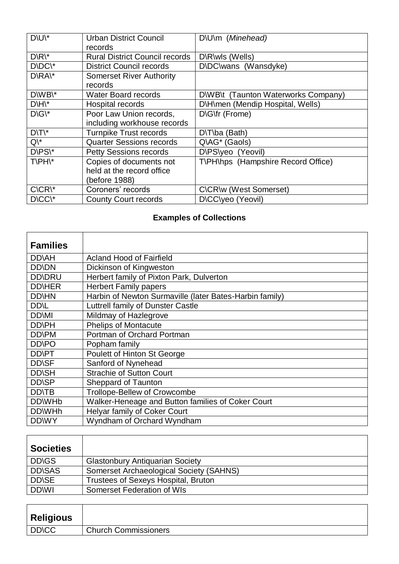| $D\setminus U$ <sup>*</sup>  | <b>Urban District Council</b>              | D\U\m (Minehead)                    |
|------------------------------|--------------------------------------------|-------------------------------------|
|                              | records                                    |                                     |
| $D\backslash R\backslash^*$  | <b>Rural District Council records</b>      | D\R\wls (Wells)                     |
| D\DC\*                       | <b>District Council records</b>            | D\DC\wans (Wansdyke)                |
| $D\backslash RA\backslash^*$ | <b>Somerset River Authority</b><br>records |                                     |
| D\WB\*                       | <b>Water Board records</b>                 | D\WB\t (Taunton Waterworks Company) |
| $D\backslash H\backslash^*$  | Hospital records                           | D\H\men (Mendip Hospital, Wells)    |
| $D\backslash G$ <sup>*</sup> | Poor Law Union records,                    | D\G\fr (Frome)                      |
|                              | including workhouse records                |                                     |
| $D\setminus T\setminus^*$    | <b>Turnpike Trust records</b>              | D\T\ba (Bath)                       |
| $Q \backslash^*$             | <b>Quarter Sessions records</b>            | Q\AG* (Gaols)                       |
| $D\backslash PS\backslash^*$ | <b>Petty Sessions records</b>              | D\PS\yeo (Yeovil)                   |
| T\PH\*                       | Copies of documents not                    | T\PH\hps (Hampshire Record Office)  |
|                              | held at the record office                  |                                     |
|                              | (before 1988)                              |                                     |
| $C\setminus CR$              | Coroners' records                          | C\CR\w (West Somerset)              |
| D\CC\*                       | <b>County Court records</b>                | D\CC\yeo (Yeovil)                   |

## **Examples of Collections**

| <b>Families</b>    |                                                         |
|--------------------|---------------------------------------------------------|
| <b>DD</b> AH       | <b>Acland Hood of Fairfield</b>                         |
| <b>DD</b> \DN      | Dickinson of Kingweston                                 |
| <b>DD\DRU</b>      | Herbert family of Pixton Park, Dulverton                |
| <b>DD</b> \HER     | <b>Herbert Family papers</b>                            |
| <b>DD</b> \HN      | Harbin of Newton Surmaville (later Bates-Harbin family) |
| <b>DD</b> NL       | Luttrell family of Dunster Castle                       |
| <b>DD</b> \MI      | Mildmay of Hazlegrove                                   |
| <b>DD\PH</b>       | <b>Phelips of Montacute</b>                             |
| <b>DD\PM</b>       | Portman of Orchard Portman                              |
| <b>DD\PO</b>       | Popham family                                           |
| DD\PT              | Poulett of Hinton St George                             |
| <b>DD</b> \SF      | Sanford of Nynehead                                     |
| <b>DD\SH</b>       | <b>Strachie of Sutton Court</b>                         |
| <b>DD\SP</b>       | Sheppard of Taunton                                     |
| <b>DD</b> \TB      | Trollope-Bellew of Crowcombe                            |
| DD\WH <sub>b</sub> | Walker-Heneage and Button families of Coker Court       |
| DD\WHh             | Helyar family of Coker Court                            |
| DD\WY              | Wyndham of Orchard Wyndham                              |

| <b>Societies</b>        |                                            |
|-------------------------|--------------------------------------------|
| <b>DD</b> <sub>GS</sub> | <b>Glastonbury Antiquarian Society</b>     |
| <b>DD\SAS</b>           | Somerset Archaeological Society (SAHNS)    |
| <b>DD</b> \SE           | <b>Trustees of Sexeys Hospital, Bruton</b> |
| <b>DDWI</b>             | Somerset Federation of WIs                 |

| <b>Religious</b> |                             |
|------------------|-----------------------------|
| <b>DD/CC</b>     | <b>Church Commissioners</b> |
|                  |                             |